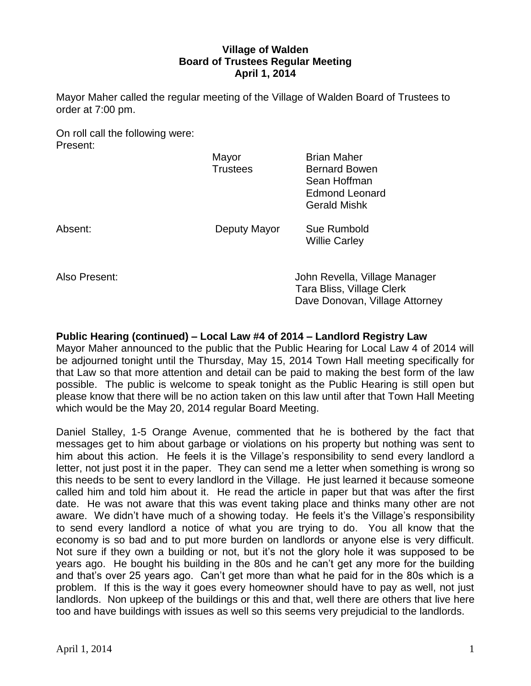# **Village of Walden Board of Trustees Regular Meeting April 1, 2014**

Mayor Maher called the regular meeting of the Village of Walden Board of Trustees to order at 7:00 pm.

On roll call the following were: Present:

|         | Mayor<br><b>Trustees</b> | <b>Brian Maher</b><br><b>Bernard Bowen</b><br>Sean Hoffman<br><b>Edmond Leonard</b><br><b>Gerald Mishk</b> |
|---------|--------------------------|------------------------------------------------------------------------------------------------------------|
| Absent: | Deputy Mayor             | Sue Rumbold<br><b>Willie Carley</b>                                                                        |

Also Present: John Revella, Village Manager Tara Bliss, Village Clerk Dave Donovan, Village Attorney

# **Public Hearing (continued) – Local Law #4 of 2014 – Landlord Registry Law**

Mayor Maher announced to the public that the Public Hearing for Local Law 4 of 2014 will be adjourned tonight until the Thursday, May 15, 2014 Town Hall meeting specifically for that Law so that more attention and detail can be paid to making the best form of the law possible. The public is welcome to speak tonight as the Public Hearing is still open but please know that there will be no action taken on this law until after that Town Hall Meeting which would be the May 20, 2014 regular Board Meeting.

Daniel Stalley, 1-5 Orange Avenue, commented that he is bothered by the fact that messages get to him about garbage or violations on his property but nothing was sent to him about this action. He feels it is the Village's responsibility to send every landlord a letter, not just post it in the paper. They can send me a letter when something is wrong so this needs to be sent to every landlord in the Village. He just learned it because someone called him and told him about it. He read the article in paper but that was after the first date. He was not aware that this was event taking place and thinks many other are not aware. We didn't have much of a showing today. He feels it's the Village's responsibility to send every landlord a notice of what you are trying to do. You all know that the economy is so bad and to put more burden on landlords or anyone else is very difficult. Not sure if they own a building or not, but it's not the glory hole it was supposed to be years ago. He bought his building in the 80s and he can't get any more for the building and that's over 25 years ago. Can't get more than what he paid for in the 80s which is a problem. If this is the way it goes every homeowner should have to pay as well, not just landlords. Non upkeep of the buildings or this and that, well there are others that live here too and have buildings with issues as well so this seems very prejudicial to the landlords.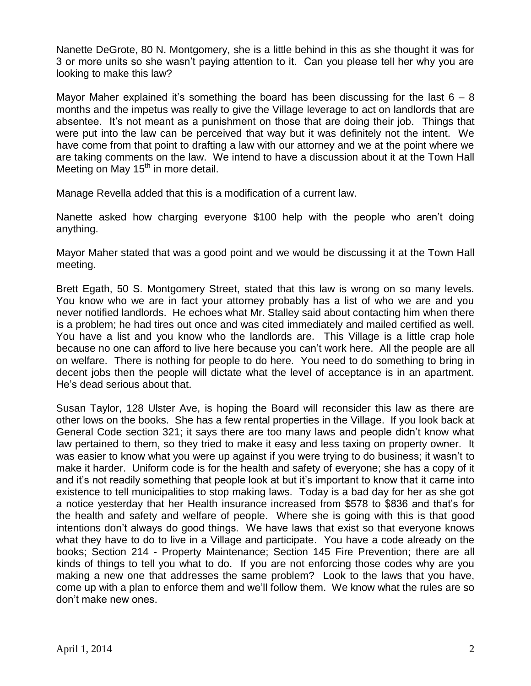Nanette DeGrote, 80 N. Montgomery, she is a little behind in this as she thought it was for 3 or more units so she wasn't paying attention to it. Can you please tell her why you are looking to make this law?

Mayor Maher explained it's something the board has been discussing for the last  $6 - 8$ months and the impetus was really to give the Village leverage to act on landlords that are absentee. It's not meant as a punishment on those that are doing their job. Things that were put into the law can be perceived that way but it was definitely not the intent. We have come from that point to drafting a law with our attorney and we at the point where we are taking comments on the law. We intend to have a discussion about it at the Town Hall Meeting on May  $15<sup>th</sup>$  in more detail.

Manage Revella added that this is a modification of a current law.

Nanette asked how charging everyone \$100 help with the people who aren't doing anything.

Mayor Maher stated that was a good point and we would be discussing it at the Town Hall meeting.

Brett Egath, 50 S. Montgomery Street, stated that this law is wrong on so many levels. You know who we are in fact your attorney probably has a list of who we are and you never notified landlords. He echoes what Mr. Stalley said about contacting him when there is a problem; he had tires out once and was cited immediately and mailed certified as well. You have a list and you know who the landlords are. This Village is a little crap hole because no one can afford to live here because you can't work here. All the people are all on welfare. There is nothing for people to do here. You need to do something to bring in decent jobs then the people will dictate what the level of acceptance is in an apartment. He's dead serious about that.

Susan Taylor, 128 Ulster Ave, is hoping the Board will reconsider this law as there are other lows on the books. She has a few rental properties in the Village. If you look back at General Code section 321; it says there are too many laws and people didn't know what law pertained to them, so they tried to make it easy and less taxing on property owner. It was easier to know what you were up against if you were trying to do business; it wasn't to make it harder. Uniform code is for the health and safety of everyone; she has a copy of it and it's not readily something that people look at but it's important to know that it came into existence to tell municipalities to stop making laws. Today is a bad day for her as she got a notice yesterday that her Health insurance increased from \$578 to \$836 and that's for the health and safety and welfare of people. Where she is going with this is that good intentions don't always do good things. We have laws that exist so that everyone knows what they have to do to live in a Village and participate. You have a code already on the books; Section 214 - Property Maintenance; Section 145 Fire Prevention; there are all kinds of things to tell you what to do. If you are not enforcing those codes why are you making a new one that addresses the same problem? Look to the laws that you have, come up with a plan to enforce them and we'll follow them. We know what the rules are so don't make new ones.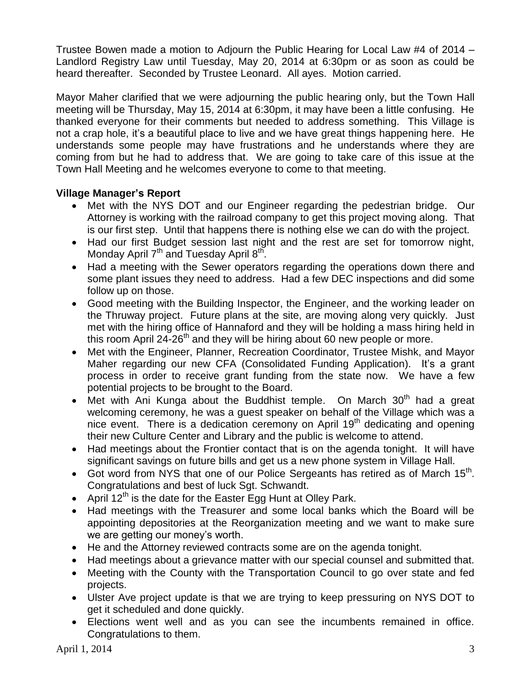Trustee Bowen made a motion to Adjourn the Public Hearing for Local Law #4 of 2014 – Landlord Registry Law until Tuesday, May 20, 2014 at 6:30pm or as soon as could be heard thereafter. Seconded by Trustee Leonard. All ayes. Motion carried.

Mayor Maher clarified that we were adjourning the public hearing only, but the Town Hall meeting will be Thursday, May 15, 2014 at 6:30pm, it may have been a little confusing. He thanked everyone for their comments but needed to address something. This Village is not a crap hole, it's a beautiful place to live and we have great things happening here. He understands some people may have frustrations and he understands where they are coming from but he had to address that. We are going to take care of this issue at the Town Hall Meeting and he welcomes everyone to come to that meeting.

# **Village Manager's Report**

- Met with the NYS DOT and our Engineer regarding the pedestrian bridge. Our Attorney is working with the railroad company to get this project moving along. That is our first step. Until that happens there is nothing else we can do with the project.
- Had our first Budget session last night and the rest are set for tomorrow night, Monday April 7<sup>th</sup> and Tuesday April 8<sup>th</sup>.
- Had a meeting with the Sewer operators regarding the operations down there and some plant issues they need to address. Had a few DEC inspections and did some follow up on those.
- Good meeting with the Building Inspector, the Engineer, and the working leader on the Thruway project. Future plans at the site, are moving along very quickly. Just met with the hiring office of Hannaford and they will be holding a mass hiring held in this room April 24-26<sup>th</sup> and they will be hiring about 60 new people or more.
- Met with the Engineer, Planner, Recreation Coordinator, Trustee Mishk, and Mayor Maher regarding our new CFA (Consolidated Funding Application). It's a grant process in order to receive grant funding from the state now. We have a few potential projects to be brought to the Board.
- Met with Ani Kunga about the Buddhist temple. On March  $30<sup>th</sup>$  had a great welcoming ceremony, he was a guest speaker on behalf of the Village which was a nice event. There is a dedication ceremony on April 19<sup>th</sup> dedicating and opening their new Culture Center and Library and the public is welcome to attend.
- Had meetings about the Frontier contact that is on the agenda tonight. It will have significant savings on future bills and get us a new phone system in Village Hall.
- Got word from NYS that one of our Police Sergeants has retired as of March  $15<sup>th</sup>$ . Congratulations and best of luck Sgt. Schwandt.
- April  $12^{th}$  is the date for the Easter Egg Hunt at Olley Park.
- Had meetings with the Treasurer and some local banks which the Board will be appointing depositories at the Reorganization meeting and we want to make sure we are getting our money's worth.
- He and the Attorney reviewed contracts some are on the agenda tonight.
- Had meetings about a grievance matter with our special counsel and submitted that.
- Meeting with the County with the Transportation Council to go over state and fed projects.
- Ulster Ave project update is that we are trying to keep pressuring on NYS DOT to get it scheduled and done quickly.
- Elections went well and as you can see the incumbents remained in office. Congratulations to them.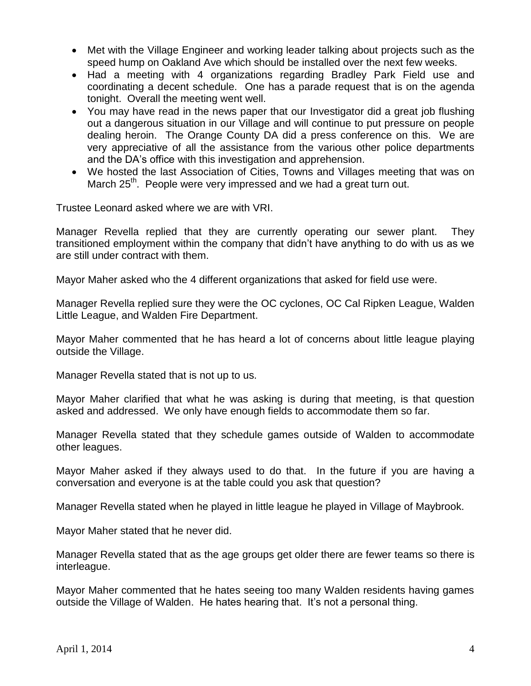- Met with the Village Engineer and working leader talking about projects such as the speed hump on Oakland Ave which should be installed over the next few weeks.
- Had a meeting with 4 organizations regarding Bradley Park Field use and coordinating a decent schedule. One has a parade request that is on the agenda tonight. Overall the meeting went well.
- You may have read in the news paper that our Investigator did a great job flushing out a dangerous situation in our Village and will continue to put pressure on people dealing heroin. The Orange County DA did a press conference on this. We are very appreciative of all the assistance from the various other police departments and the DA's office with this investigation and apprehension.
- We hosted the last Association of Cities, Towns and Villages meeting that was on March 25<sup>th</sup>. People were very impressed and we had a great turn out.

Trustee Leonard asked where we are with VRI.

Manager Revella replied that they are currently operating our sewer plant. They transitioned employment within the company that didn't have anything to do with us as we are still under contract with them.

Mayor Maher asked who the 4 different organizations that asked for field use were.

Manager Revella replied sure they were the OC cyclones, OC Cal Ripken League, Walden Little League, and Walden Fire Department.

Mayor Maher commented that he has heard a lot of concerns about little league playing outside the Village.

Manager Revella stated that is not up to us.

Mayor Maher clarified that what he was asking is during that meeting, is that question asked and addressed. We only have enough fields to accommodate them so far.

Manager Revella stated that they schedule games outside of Walden to accommodate other leagues.

Mayor Maher asked if they always used to do that. In the future if you are having a conversation and everyone is at the table could you ask that question?

Manager Revella stated when he played in little league he played in Village of Maybrook.

Mayor Maher stated that he never did.

Manager Revella stated that as the age groups get older there are fewer teams so there is interleague.

Mayor Maher commented that he hates seeing too many Walden residents having games outside the Village of Walden. He hates hearing that. It's not a personal thing.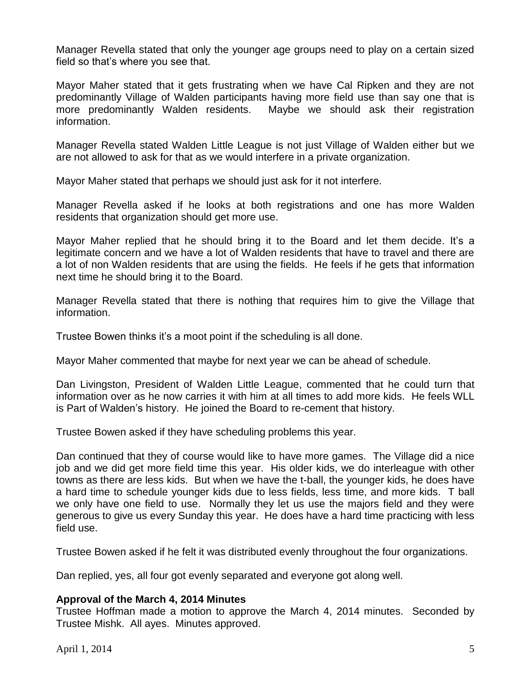Manager Revella stated that only the younger age groups need to play on a certain sized field so that's where you see that.

Mayor Maher stated that it gets frustrating when we have Cal Ripken and they are not predominantly Village of Walden participants having more field use than say one that is more predominantly Walden residents. Maybe we should ask their registration information.

Manager Revella stated Walden Little League is not just Village of Walden either but we are not allowed to ask for that as we would interfere in a private organization.

Mayor Maher stated that perhaps we should just ask for it not interfere.

Manager Revella asked if he looks at both registrations and one has more Walden residents that organization should get more use.

Mayor Maher replied that he should bring it to the Board and let them decide. It's a legitimate concern and we have a lot of Walden residents that have to travel and there are a lot of non Walden residents that are using the fields. He feels if he gets that information next time he should bring it to the Board.

Manager Revella stated that there is nothing that requires him to give the Village that information.

Trustee Bowen thinks it's a moot point if the scheduling is all done.

Mayor Maher commented that maybe for next year we can be ahead of schedule.

Dan Livingston, President of Walden Little League, commented that he could turn that information over as he now carries it with him at all times to add more kids. He feels WLL is Part of Walden's history. He joined the Board to re-cement that history.

Trustee Bowen asked if they have scheduling problems this year.

Dan continued that they of course would like to have more games. The Village did a nice job and we did get more field time this year. His older kids, we do interleague with other towns as there are less kids. But when we have the t-ball, the younger kids, he does have a hard time to schedule younger kids due to less fields, less time, and more kids. T ball we only have one field to use. Normally they let us use the majors field and they were generous to give us every Sunday this year. He does have a hard time practicing with less field use.

Trustee Bowen asked if he felt it was distributed evenly throughout the four organizations.

Dan replied, yes, all four got evenly separated and everyone got along well.

# **Approval of the March 4, 2014 Minutes**

Trustee Hoffman made a motion to approve the March 4, 2014 minutes. Seconded by Trustee Mishk. All ayes. Minutes approved.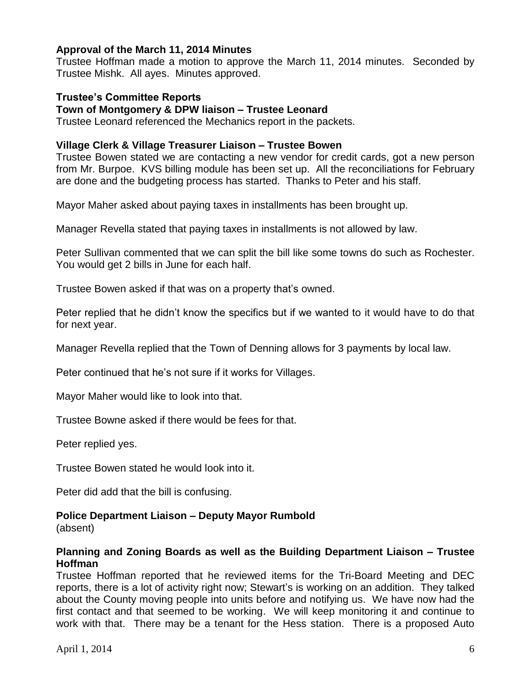# **Approval of the March 11, 2014 Minutes**

Trustee Hoffman made a motion to approve the March 11, 2014 minutes. Seconded by Trustee Mishk. All ayes. Minutes approved.

# **Trustee's Committee Reports**

### **Town of Montgomery & DPW liaison – Trustee Leonard**

Trustee Leonard referenced the Mechanics report in the packets.

# **Village Clerk & Village Treasurer Liaison – Trustee Bowen**

Trustee Bowen stated we are contacting a new vendor for credit cards, got a new person from Mr. Burpoe. KVS billing module has been set up. All the reconciliations for February are done and the budgeting process has started. Thanks to Peter and his staff.

Mayor Maher asked about paying taxes in installments has been brought up.

Manager Revella stated that paying taxes in installments is not allowed by law.

Peter Sullivan commented that we can split the bill like some towns do such as Rochester. You would get 2 bills in June for each half.

Trustee Bowen asked if that was on a property that's owned.

Peter replied that he didn't know the specifics but if we wanted to it would have to do that for next year.

Manager Revella replied that the Town of Denning allows for 3 payments by local law.

Peter continued that he's not sure if it works for Villages.

Mayor Maher would like to look into that.

Trustee Bowne asked if there would be fees for that.

Peter replied yes.

Trustee Bowen stated he would look into it.

Peter did add that the bill is confusing.

# **Police Department Liaison – Deputy Mayor Rumbold**

(absent)

# **Planning and Zoning Boards as well as the Building Department Liaison – Trustee Hoffman**

Trustee Hoffman reported that he reviewed items for the Tri-Board Meeting and DEC reports, there is a lot of activity right now; Stewart's is working on an addition. They talked about the County moving people into units before and notifying us. We have now had the first contact and that seemed to be working. We will keep monitoring it and continue to work with that. There may be a tenant for the Hess station. There is a proposed Auto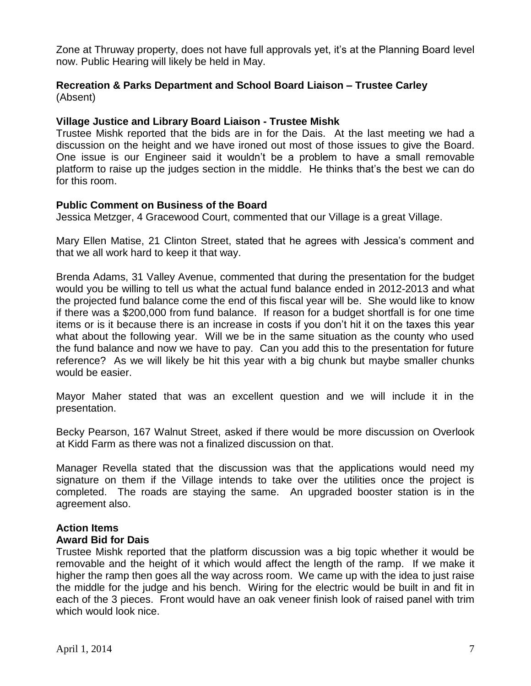Zone at Thruway property, does not have full approvals yet, it's at the Planning Board level now. Public Hearing will likely be held in May.

# **Recreation & Parks Department and School Board Liaison – Trustee Carley** (Absent)

# **Village Justice and Library Board Liaison - Trustee Mishk**

Trustee Mishk reported that the bids are in for the Dais. At the last meeting we had a discussion on the height and we have ironed out most of those issues to give the Board. One issue is our Engineer said it wouldn't be a problem to have a small removable platform to raise up the judges section in the middle. He thinks that's the best we can do for this room.

# **Public Comment on Business of the Board**

Jessica Metzger, 4 Gracewood Court, commented that our Village is a great Village.

Mary Ellen Matise, 21 Clinton Street, stated that he agrees with Jessica's comment and that we all work hard to keep it that way.

Brenda Adams, 31 Valley Avenue, commented that during the presentation for the budget would you be willing to tell us what the actual fund balance ended in 2012-2013 and what the projected fund balance come the end of this fiscal year will be. She would like to know if there was a \$200,000 from fund balance. If reason for a budget shortfall is for one time items or is it because there is an increase in costs if you don't hit it on the taxes this year what about the following year. Will we be in the same situation as the county who used the fund balance and now we have to pay. Can you add this to the presentation for future reference? As we will likely be hit this year with a big chunk but maybe smaller chunks would be easier.

Mayor Maher stated that was an excellent question and we will include it in the presentation.

Becky Pearson, 167 Walnut Street, asked if there would be more discussion on Overlook at Kidd Farm as there was not a finalized discussion on that.

Manager Revella stated that the discussion was that the applications would need my signature on them if the Village intends to take over the utilities once the project is completed. The roads are staying the same. An upgraded booster station is in the agreement also.

# **Action Items**

### **Award Bid for Dais**

Trustee Mishk reported that the platform discussion was a big topic whether it would be removable and the height of it which would affect the length of the ramp. If we make it higher the ramp then goes all the way across room. We came up with the idea to just raise the middle for the judge and his bench. Wiring for the electric would be built in and fit in each of the 3 pieces. Front would have an oak veneer finish look of raised panel with trim which would look nice.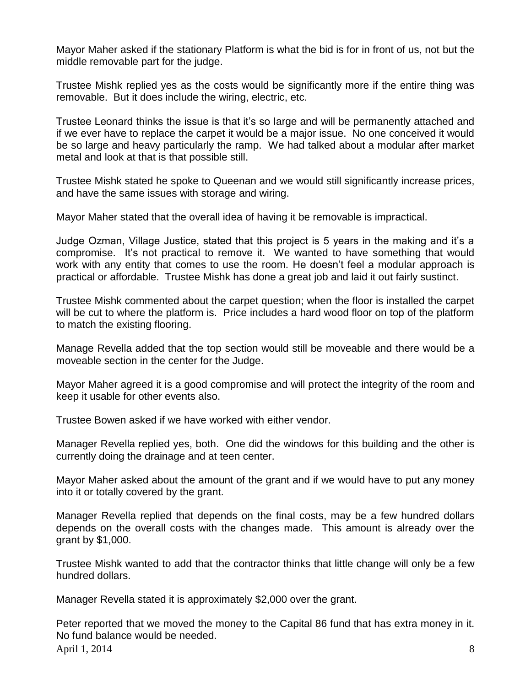Mayor Maher asked if the stationary Platform is what the bid is for in front of us, not but the middle removable part for the judge.

Trustee Mishk replied yes as the costs would be significantly more if the entire thing was removable. But it does include the wiring, electric, etc.

Trustee Leonard thinks the issue is that it's so large and will be permanently attached and if we ever have to replace the carpet it would be a major issue. No one conceived it would be so large and heavy particularly the ramp. We had talked about a modular after market metal and look at that is that possible still.

Trustee Mishk stated he spoke to Queenan and we would still significantly increase prices, and have the same issues with storage and wiring.

Mayor Maher stated that the overall idea of having it be removable is impractical.

Judge Ozman, Village Justice, stated that this project is 5 years in the making and it's a compromise. It's not practical to remove it. We wanted to have something that would work with any entity that comes to use the room. He doesn't feel a modular approach is practical or affordable. Trustee Mishk has done a great job and laid it out fairly sustinct.

Trustee Mishk commented about the carpet question; when the floor is installed the carpet will be cut to where the platform is. Price includes a hard wood floor on top of the platform to match the existing flooring.

Manage Revella added that the top section would still be moveable and there would be a moveable section in the center for the Judge.

Mayor Maher agreed it is a good compromise and will protect the integrity of the room and keep it usable for other events also.

Trustee Bowen asked if we have worked with either vendor.

Manager Revella replied yes, both. One did the windows for this building and the other is currently doing the drainage and at teen center.

Mayor Maher asked about the amount of the grant and if we would have to put any money into it or totally covered by the grant.

Manager Revella replied that depends on the final costs, may be a few hundred dollars depends on the overall costs with the changes made. This amount is already over the grant by \$1,000.

Trustee Mishk wanted to add that the contractor thinks that little change will only be a few hundred dollars.

Manager Revella stated it is approximately \$2,000 over the grant.

April 1, 2014  $\overline{\phantom{a}}$  8 Peter reported that we moved the money to the Capital 86 fund that has extra money in it. No fund balance would be needed.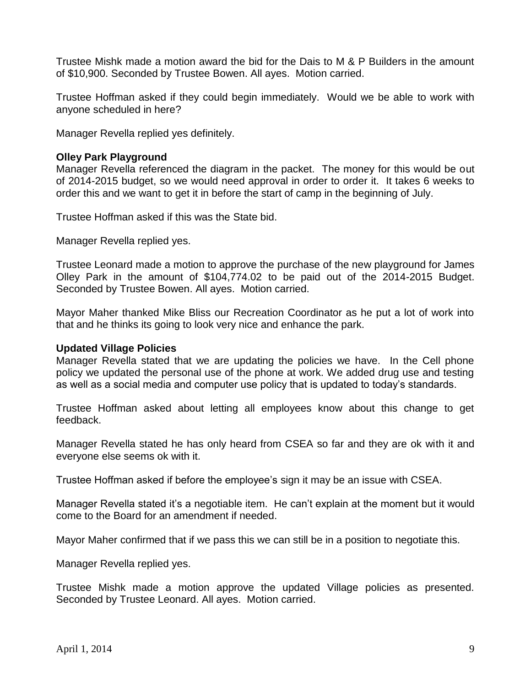Trustee Mishk made a motion award the bid for the Dais to M & P Builders in the amount of \$10,900. Seconded by Trustee Bowen. All ayes. Motion carried.

Trustee Hoffman asked if they could begin immediately. Would we be able to work with anyone scheduled in here?

Manager Revella replied yes definitely.

# **Olley Park Playground**

Manager Revella referenced the diagram in the packet. The money for this would be out of 2014-2015 budget, so we would need approval in order to order it. It takes 6 weeks to order this and we want to get it in before the start of camp in the beginning of July.

Trustee Hoffman asked if this was the State bid.

Manager Revella replied yes.

Trustee Leonard made a motion to approve the purchase of the new playground for James Olley Park in the amount of \$104,774.02 to be paid out of the 2014-2015 Budget. Seconded by Trustee Bowen. All ayes. Motion carried.

Mayor Maher thanked Mike Bliss our Recreation Coordinator as he put a lot of work into that and he thinks its going to look very nice and enhance the park.

### **Updated Village Policies**

Manager Revella stated that we are updating the policies we have. In the Cell phone policy we updated the personal use of the phone at work. We added drug use and testing as well as a social media and computer use policy that is updated to today's standards.

Trustee Hoffman asked about letting all employees know about this change to get feedback.

Manager Revella stated he has only heard from CSEA so far and they are ok with it and everyone else seems ok with it.

Trustee Hoffman asked if before the employee's sign it may be an issue with CSEA.

Manager Revella stated it's a negotiable item. He can't explain at the moment but it would come to the Board for an amendment if needed.

Mayor Maher confirmed that if we pass this we can still be in a position to negotiate this.

Manager Revella replied yes.

Trustee Mishk made a motion approve the updated Village policies as presented. Seconded by Trustee Leonard. All ayes. Motion carried.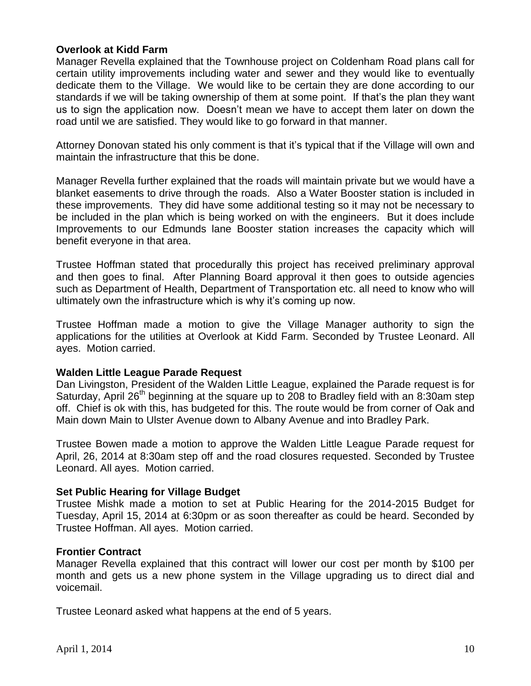# **Overlook at Kidd Farm**

Manager Revella explained that the Townhouse project on Coldenham Road plans call for certain utility improvements including water and sewer and they would like to eventually dedicate them to the Village. We would like to be certain they are done according to our standards if we will be taking ownership of them at some point. If that's the plan they want us to sign the application now. Doesn't mean we have to accept them later on down the road until we are satisfied. They would like to go forward in that manner.

Attorney Donovan stated his only comment is that it's typical that if the Village will own and maintain the infrastructure that this be done.

Manager Revella further explained that the roads will maintain private but we would have a blanket easements to drive through the roads. Also a Water Booster station is included in these improvements. They did have some additional testing so it may not be necessary to be included in the plan which is being worked on with the engineers. But it does include Improvements to our Edmunds lane Booster station increases the capacity which will benefit everyone in that area.

Trustee Hoffman stated that procedurally this project has received preliminary approval and then goes to final. After Planning Board approval it then goes to outside agencies such as Department of Health, Department of Transportation etc. all need to know who will ultimately own the infrastructure which is why it's coming up now.

Trustee Hoffman made a motion to give the Village Manager authority to sign the applications for the utilities at Overlook at Kidd Farm. Seconded by Trustee Leonard. All ayes. Motion carried.

### **Walden Little League Parade Request**

Dan Livingston, President of the Walden Little League, explained the Parade request is for Saturday, April 26<sup>th</sup> beginning at the square up to 208 to Bradley field with an 8:30am step off. Chief is ok with this, has budgeted for this. The route would be from corner of Oak and Main down Main to Ulster Avenue down to Albany Avenue and into Bradley Park.

Trustee Bowen made a motion to approve the Walden Little League Parade request for April, 26, 2014 at 8:30am step off and the road closures requested. Seconded by Trustee Leonard. All ayes. Motion carried.

### **Set Public Hearing for Village Budget**

Trustee Mishk made a motion to set at Public Hearing for the 2014-2015 Budget for Tuesday, April 15, 2014 at 6:30pm or as soon thereafter as could be heard. Seconded by Trustee Hoffman. All ayes. Motion carried.

### **Frontier Contract**

Manager Revella explained that this contract will lower our cost per month by \$100 per month and gets us a new phone system in the Village upgrading us to direct dial and voicemail.

Trustee Leonard asked what happens at the end of 5 years.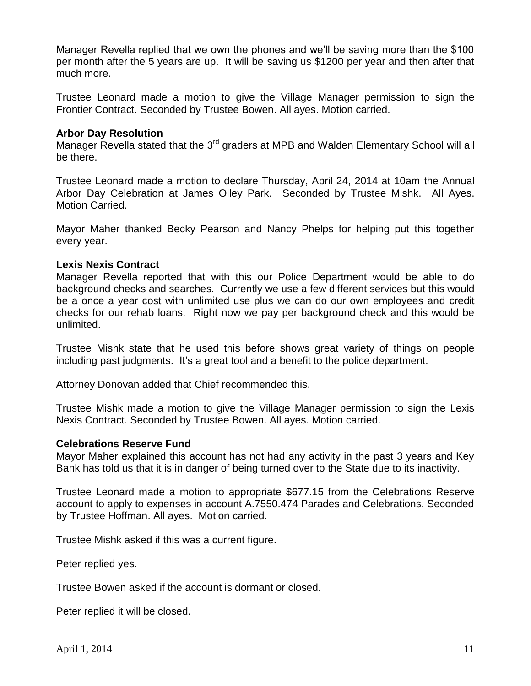Manager Revella replied that we own the phones and we'll be saving more than the \$100 per month after the 5 years are up. It will be saving us \$1200 per year and then after that much more.

Trustee Leonard made a motion to give the Village Manager permission to sign the Frontier Contract. Seconded by Trustee Bowen. All ayes. Motion carried.

# **Arbor Day Resolution**

Manager Revella stated that the 3<sup>rd</sup> graders at MPB and Walden Elementary School will all be there.

Trustee Leonard made a motion to declare Thursday, April 24, 2014 at 10am the Annual Arbor Day Celebration at James Olley Park. Seconded by Trustee Mishk. All Ayes. Motion Carried.

Mayor Maher thanked Becky Pearson and Nancy Phelps for helping put this together every year.

# **Lexis Nexis Contract**

Manager Revella reported that with this our Police Department would be able to do background checks and searches. Currently we use a few different services but this would be a once a year cost with unlimited use plus we can do our own employees and credit checks for our rehab loans. Right now we pay per background check and this would be unlimited.

Trustee Mishk state that he used this before shows great variety of things on people including past judgments. It's a great tool and a benefit to the police department.

Attorney Donovan added that Chief recommended this.

Trustee Mishk made a motion to give the Village Manager permission to sign the Lexis Nexis Contract. Seconded by Trustee Bowen. All ayes. Motion carried.

### **Celebrations Reserve Fund**

Mayor Maher explained this account has not had any activity in the past 3 years and Key Bank has told us that it is in danger of being turned over to the State due to its inactivity.

Trustee Leonard made a motion to appropriate \$677.15 from the Celebrations Reserve account to apply to expenses in account A.7550.474 Parades and Celebrations. Seconded by Trustee Hoffman. All ayes. Motion carried.

Trustee Mishk asked if this was a current figure.

Peter replied yes.

Trustee Bowen asked if the account is dormant or closed.

Peter replied it will be closed.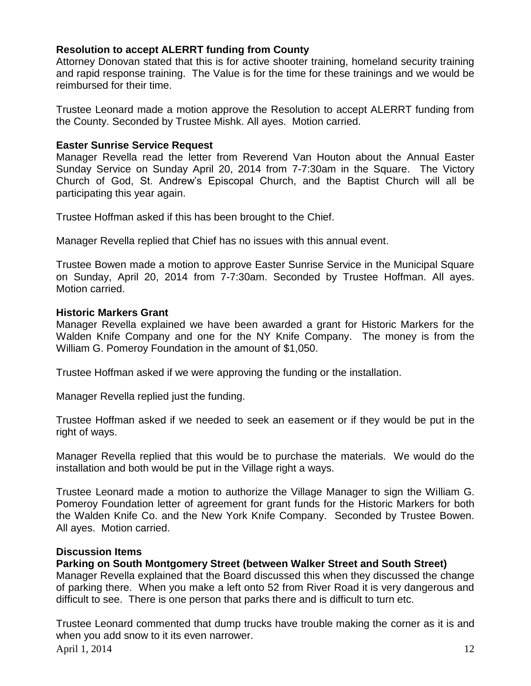# **Resolution to accept ALERRT funding from County**

Attorney Donovan stated that this is for active shooter training, homeland security training and rapid response training. The Value is for the time for these trainings and we would be reimbursed for their time.

Trustee Leonard made a motion approve the Resolution to accept ALERRT funding from the County. Seconded by Trustee Mishk. All ayes. Motion carried.

# **Easter Sunrise Service Request**

Manager Revella read the letter from Reverend Van Houton about the Annual Easter Sunday Service on Sunday April 20, 2014 from 7-7:30am in the Square. The Victory Church of God, St. Andrew's Episcopal Church, and the Baptist Church will all be participating this year again.

Trustee Hoffman asked if this has been brought to the Chief.

Manager Revella replied that Chief has no issues with this annual event.

Trustee Bowen made a motion to approve Easter Sunrise Service in the Municipal Square on Sunday, April 20, 2014 from 7-7:30am. Seconded by Trustee Hoffman. All ayes. Motion carried.

# **Historic Markers Grant**

Manager Revella explained we have been awarded a grant for Historic Markers for the Walden Knife Company and one for the NY Knife Company. The money is from the William G. Pomeroy Foundation in the amount of \$1,050.

Trustee Hoffman asked if we were approving the funding or the installation.

Manager Revella replied just the funding.

Trustee Hoffman asked if we needed to seek an easement or if they would be put in the right of ways.

Manager Revella replied that this would be to purchase the materials. We would do the installation and both would be put in the Village right a ways.

Trustee Leonard made a motion to authorize the Village Manager to sign the William G. Pomeroy Foundation letter of agreement for grant funds for the Historic Markers for both the Walden Knife Co. and the New York Knife Company. Seconded by Trustee Bowen. All ayes. Motion carried.

# **Discussion Items**

# **Parking on South Montgomery Street (between Walker Street and South Street)**

Manager Revella explained that the Board discussed this when they discussed the change of parking there. When you make a left onto 52 from River Road it is very dangerous and difficult to see. There is one person that parks there and is difficult to turn etc.

April 1, 2014 12 Trustee Leonard commented that dump trucks have trouble making the corner as it is and when you add snow to it its even narrower.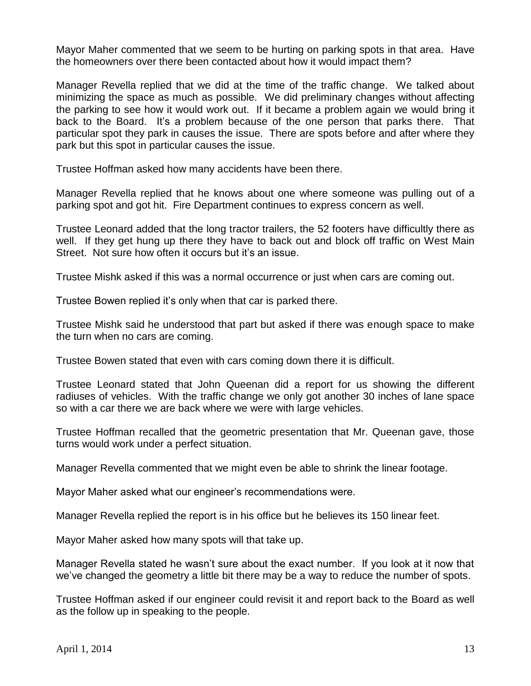Mayor Maher commented that we seem to be hurting on parking spots in that area. Have the homeowners over there been contacted about how it would impact them?

Manager Revella replied that we did at the time of the traffic change. We talked about minimizing the space as much as possible. We did preliminary changes without affecting the parking to see how it would work out. If it became a problem again we would bring it back to the Board. It's a problem because of the one person that parks there. That particular spot they park in causes the issue. There are spots before and after where they park but this spot in particular causes the issue.

Trustee Hoffman asked how many accidents have been there.

Manager Revella replied that he knows about one where someone was pulling out of a parking spot and got hit. Fire Department continues to express concern as well.

Trustee Leonard added that the long tractor trailers, the 52 footers have difficultly there as well. If they get hung up there they have to back out and block off traffic on West Main Street. Not sure how often it occurs but it's an issue.

Trustee Mishk asked if this was a normal occurrence or just when cars are coming out.

Trustee Bowen replied it's only when that car is parked there.

Trustee Mishk said he understood that part but asked if there was enough space to make the turn when no cars are coming.

Trustee Bowen stated that even with cars coming down there it is difficult.

Trustee Leonard stated that John Queenan did a report for us showing the different radiuses of vehicles. With the traffic change we only got another 30 inches of lane space so with a car there we are back where we were with large vehicles.

Trustee Hoffman recalled that the geometric presentation that Mr. Queenan gave, those turns would work under a perfect situation.

Manager Revella commented that we might even be able to shrink the linear footage.

Mayor Maher asked what our engineer's recommendations were.

Manager Revella replied the report is in his office but he believes its 150 linear feet.

Mayor Maher asked how many spots will that take up.

Manager Revella stated he wasn't sure about the exact number. If you look at it now that we've changed the geometry a little bit there may be a way to reduce the number of spots.

Trustee Hoffman asked if our engineer could revisit it and report back to the Board as well as the follow up in speaking to the people.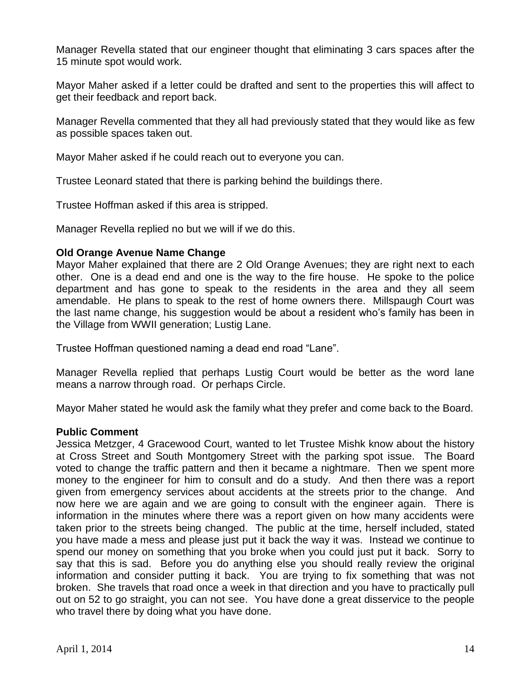Manager Revella stated that our engineer thought that eliminating 3 cars spaces after the 15 minute spot would work.

Mayor Maher asked if a letter could be drafted and sent to the properties this will affect to get their feedback and report back.

Manager Revella commented that they all had previously stated that they would like as few as possible spaces taken out.

Mayor Maher asked if he could reach out to everyone you can.

Trustee Leonard stated that there is parking behind the buildings there.

Trustee Hoffman asked if this area is stripped.

Manager Revella replied no but we will if we do this.

### **Old Orange Avenue Name Change**

Mayor Maher explained that there are 2 Old Orange Avenues; they are right next to each other. One is a dead end and one is the way to the fire house. He spoke to the police department and has gone to speak to the residents in the area and they all seem amendable. He plans to speak to the rest of home owners there. Millspaugh Court was the last name change, his suggestion would be about a resident who's family has been in the Village from WWII generation; Lustig Lane.

Trustee Hoffman questioned naming a dead end road "Lane".

Manager Revella replied that perhaps Lustig Court would be better as the word lane means a narrow through road. Or perhaps Circle.

Mayor Maher stated he would ask the family what they prefer and come back to the Board.

### **Public Comment**

Jessica Metzger, 4 Gracewood Court, wanted to let Trustee Mishk know about the history at Cross Street and South Montgomery Street with the parking spot issue. The Board voted to change the traffic pattern and then it became a nightmare. Then we spent more money to the engineer for him to consult and do a study. And then there was a report given from emergency services about accidents at the streets prior to the change. And now here we are again and we are going to consult with the engineer again. There is information in the minutes where there was a report given on how many accidents were taken prior to the streets being changed. The public at the time, herself included, stated you have made a mess and please just put it back the way it was. Instead we continue to spend our money on something that you broke when you could just put it back. Sorry to say that this is sad. Before you do anything else you should really review the original information and consider putting it back. You are trying to fix something that was not broken. She travels that road once a week in that direction and you have to practically pull out on 52 to go straight, you can not see. You have done a great disservice to the people who travel there by doing what you have done.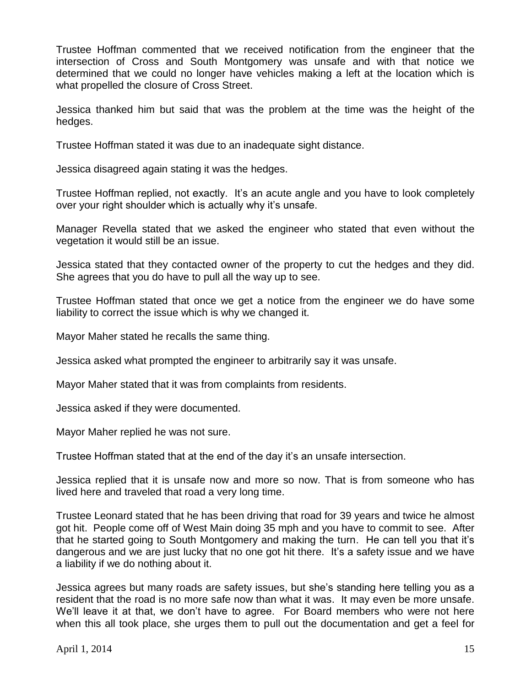Trustee Hoffman commented that we received notification from the engineer that the intersection of Cross and South Montgomery was unsafe and with that notice we determined that we could no longer have vehicles making a left at the location which is what propelled the closure of Cross Street.

Jessica thanked him but said that was the problem at the time was the height of the hedges.

Trustee Hoffman stated it was due to an inadequate sight distance.

Jessica disagreed again stating it was the hedges.

Trustee Hoffman replied, not exactly. It's an acute angle and you have to look completely over your right shoulder which is actually why it's unsafe.

Manager Revella stated that we asked the engineer who stated that even without the vegetation it would still be an issue.

Jessica stated that they contacted owner of the property to cut the hedges and they did. She agrees that you do have to pull all the way up to see.

Trustee Hoffman stated that once we get a notice from the engineer we do have some liability to correct the issue which is why we changed it.

Mayor Maher stated he recalls the same thing.

Jessica asked what prompted the engineer to arbitrarily say it was unsafe.

Mayor Maher stated that it was from complaints from residents.

Jessica asked if they were documented.

Mayor Maher replied he was not sure.

Trustee Hoffman stated that at the end of the day it's an unsafe intersection.

Jessica replied that it is unsafe now and more so now. That is from someone who has lived here and traveled that road a very long time.

Trustee Leonard stated that he has been driving that road for 39 years and twice he almost got hit. People come off of West Main doing 35 mph and you have to commit to see. After that he started going to South Montgomery and making the turn. He can tell you that it's dangerous and we are just lucky that no one got hit there. It's a safety issue and we have a liability if we do nothing about it.

Jessica agrees but many roads are safety issues, but she's standing here telling you as a resident that the road is no more safe now than what it was. It may even be more unsafe. We'll leave it at that, we don't have to agree. For Board members who were not here when this all took place, she urges them to pull out the documentation and get a feel for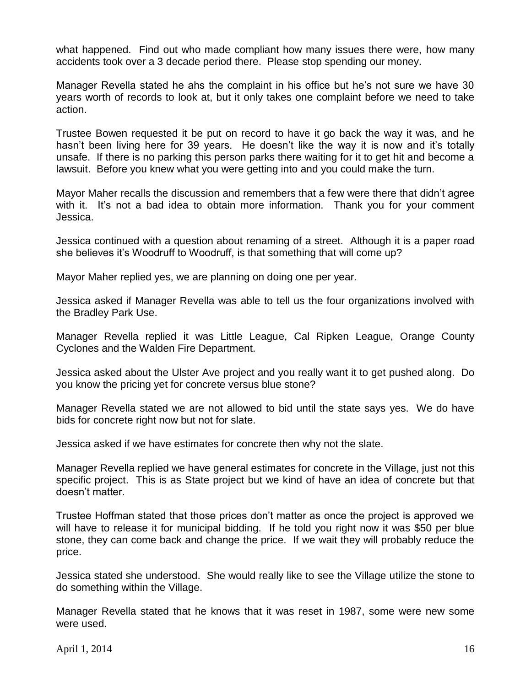what happened. Find out who made compliant how many issues there were, how many accidents took over a 3 decade period there. Please stop spending our money.

Manager Revella stated he ahs the complaint in his office but he's not sure we have 30 years worth of records to look at, but it only takes one complaint before we need to take action.

Trustee Bowen requested it be put on record to have it go back the way it was, and he hasn't been living here for 39 years. He doesn't like the way it is now and it's totally unsafe. If there is no parking this person parks there waiting for it to get hit and become a lawsuit. Before you knew what you were getting into and you could make the turn.

Mayor Maher recalls the discussion and remembers that a few were there that didn't agree with it. It's not a bad idea to obtain more information. Thank you for your comment Jessica.

Jessica continued with a question about renaming of a street. Although it is a paper road she believes it's Woodruff to Woodruff, is that something that will come up?

Mayor Maher replied yes, we are planning on doing one per year.

Jessica asked if Manager Revella was able to tell us the four organizations involved with the Bradley Park Use.

Manager Revella replied it was Little League, Cal Ripken League, Orange County Cyclones and the Walden Fire Department.

Jessica asked about the Ulster Ave project and you really want it to get pushed along. Do you know the pricing yet for concrete versus blue stone?

Manager Revella stated we are not allowed to bid until the state says yes. We do have bids for concrete right now but not for slate.

Jessica asked if we have estimates for concrete then why not the slate.

Manager Revella replied we have general estimates for concrete in the Village, just not this specific project. This is as State project but we kind of have an idea of concrete but that doesn't matter.

Trustee Hoffman stated that those prices don't matter as once the project is approved we will have to release it for municipal bidding. If he told you right now it was \$50 per blue stone, they can come back and change the price. If we wait they will probably reduce the price.

Jessica stated she understood. She would really like to see the Village utilize the stone to do something within the Village.

Manager Revella stated that he knows that it was reset in 1987, some were new some were used.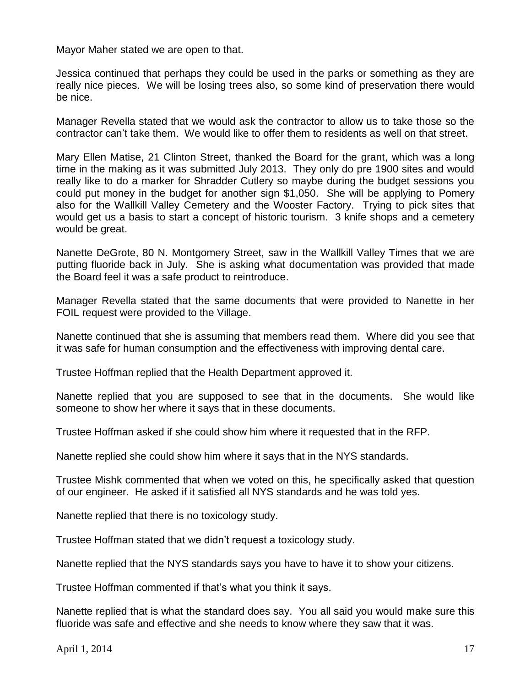Mayor Maher stated we are open to that.

Jessica continued that perhaps they could be used in the parks or something as they are really nice pieces. We will be losing trees also, so some kind of preservation there would be nice.

Manager Revella stated that we would ask the contractor to allow us to take those so the contractor can't take them. We would like to offer them to residents as well on that street.

Mary Ellen Matise, 21 Clinton Street, thanked the Board for the grant, which was a long time in the making as it was submitted July 2013. They only do pre 1900 sites and would really like to do a marker for Shradder Cutlery so maybe during the budget sessions you could put money in the budget for another sign \$1,050. She will be applying to Pomery also for the Wallkill Valley Cemetery and the Wooster Factory. Trying to pick sites that would get us a basis to start a concept of historic tourism. 3 knife shops and a cemetery would be great.

Nanette DeGrote, 80 N. Montgomery Street, saw in the Wallkill Valley Times that we are putting fluoride back in July. She is asking what documentation was provided that made the Board feel it was a safe product to reintroduce.

Manager Revella stated that the same documents that were provided to Nanette in her FOIL request were provided to the Village.

Nanette continued that she is assuming that members read them. Where did you see that it was safe for human consumption and the effectiveness with improving dental care.

Trustee Hoffman replied that the Health Department approved it.

Nanette replied that you are supposed to see that in the documents. She would like someone to show her where it says that in these documents.

Trustee Hoffman asked if she could show him where it requested that in the RFP.

Nanette replied she could show him where it says that in the NYS standards.

Trustee Mishk commented that when we voted on this, he specifically asked that question of our engineer. He asked if it satisfied all NYS standards and he was told yes.

Nanette replied that there is no toxicology study.

Trustee Hoffman stated that we didn't request a toxicology study.

Nanette replied that the NYS standards says you have to have it to show your citizens.

Trustee Hoffman commented if that's what you think it says.

Nanette replied that is what the standard does say. You all said you would make sure this fluoride was safe and effective and she needs to know where they saw that it was.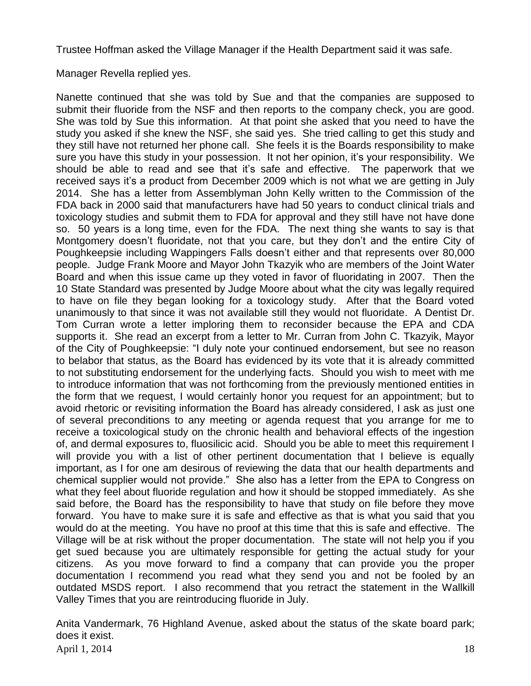Trustee Hoffman asked the Village Manager if the Health Department said it was safe.

Manager Revella replied yes.

Nanette continued that she was told by Sue and that the companies are supposed to submit their fluoride from the NSF and then reports to the company check, you are good. She was told by Sue this information. At that point she asked that you need to have the study you asked if she knew the NSF, she said yes. She tried calling to get this study and they still have not returned her phone call. She feels it is the Boards responsibility to make sure you have this study in your possession. It not her opinion, it's your responsibility. We should be able to read and see that it's safe and effective. The paperwork that we received says it's a product from December 2009 which is not what we are getting in July 2014. She has a letter from Assemblyman John Kelly written to the Commission of the FDA back in 2000 said that manufacturers have had 50 years to conduct clinical trials and toxicology studies and submit them to FDA for approval and they still have not have done so. 50 years is a long time, even for the FDA. The next thing she wants to say is that Montgomery doesn't fluoridate, not that you care, but they don't and the entire City of Poughkeepsie including Wappingers Falls doesn't either and that represents over 80,000 people. Judge Frank Moore and Mayor John Tkazyik who are members of the Joint Water Board and when this issue came up they voted in favor of fluoridating in 2007. Then the 10 State Standard was presented by Judge Moore about what the city was legally required to have on file they began looking for a toxicology study. After that the Board voted unanimously to that since it was not available still they would not fluoridate. A Dentist Dr. Tom Curran wrote a letter imploring them to reconsider because the EPA and CDA supports it. She read an excerpt from a letter to Mr. Curran from John C. Tkazyik, Mayor of the City of Poughkeepsie: "I duly note your continued endorsement, but see no reason to belabor that status, as the Board has evidenced by its vote that it is already committed to not substituting endorsement for the underlying facts. Should you wish to meet with me to introduce information that was not forthcoming from the previously mentioned entities in the form that we request, I would certainly honor you request for an appointment; but to avoid rhetoric or revisiting information the Board has already considered, I ask as just one of several preconditions to any meeting or agenda request that you arrange for me to receive a toxicological study on the chronic health and behavioral effects of the ingestion of, and dermal exposures to, fluosilicic acid. Should you be able to meet this requirement I will provide you with a list of other pertinent documentation that I believe is equally important, as I for one am desirous of reviewing the data that our health departments and chemical supplier would not provide." She also has a letter from the EPA to Congress on what they feel about fluoride regulation and how it should be stopped immediately. As she said before, the Board has the responsibility to have that study on file before they move forward. You have to make sure it is safe and effective as that is what you said that you would do at the meeting. You have no proof at this time that this is safe and effective. The Village will be at risk without the proper documentation. The state will not help you if you get sued because you are ultimately responsible for getting the actual study for your citizens. As you move forward to find a company that can provide you the proper documentation I recommend you read what they send you and not be fooled by an outdated MSDS report. I also recommend that you retract the statement in the Wallkill Valley Times that you are reintroducing fluoride in July.

April 1, 2014  $18$ Anita Vandermark, 76 Highland Avenue, asked about the status of the skate board park; does it exist.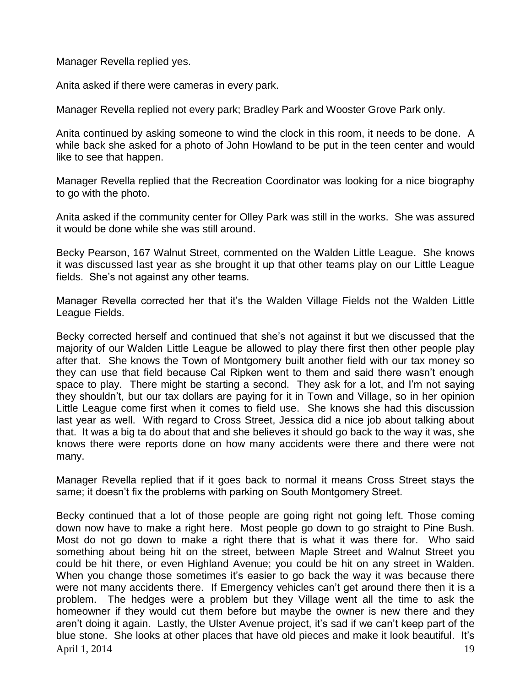Manager Revella replied yes.

Anita asked if there were cameras in every park.

Manager Revella replied not every park; Bradley Park and Wooster Grove Park only.

Anita continued by asking someone to wind the clock in this room, it needs to be done. A while back she asked for a photo of John Howland to be put in the teen center and would like to see that happen.

Manager Revella replied that the Recreation Coordinator was looking for a nice biography to go with the photo.

Anita asked if the community center for Olley Park was still in the works. She was assured it would be done while she was still around.

Becky Pearson, 167 Walnut Street, commented on the Walden Little League. She knows it was discussed last year as she brought it up that other teams play on our Little League fields. She's not against any other teams.

Manager Revella corrected her that it's the Walden Village Fields not the Walden Little League Fields.

Becky corrected herself and continued that she's not against it but we discussed that the majority of our Walden Little League be allowed to play there first then other people play after that. She knows the Town of Montgomery built another field with our tax money so they can use that field because Cal Ripken went to them and said there wasn't enough space to play. There might be starting a second. They ask for a lot, and I'm not saying they shouldn't, but our tax dollars are paying for it in Town and Village, so in her opinion Little League come first when it comes to field use. She knows she had this discussion last year as well. With regard to Cross Street, Jessica did a nice job about talking about that. It was a big ta do about that and she believes it should go back to the way it was, she knows there were reports done on how many accidents were there and there were not many.

Manager Revella replied that if it goes back to normal it means Cross Street stays the same; it doesn't fix the problems with parking on South Montgomery Street.

April 1, 2014 19 Becky continued that a lot of those people are going right not going left. Those coming down now have to make a right here. Most people go down to go straight to Pine Bush. Most do not go down to make a right there that is what it was there for. Who said something about being hit on the street, between Maple Street and Walnut Street you could be hit there, or even Highland Avenue; you could be hit on any street in Walden. When you change those sometimes it's easier to go back the way it was because there were not many accidents there. If Emergency vehicles can't get around there then it is a problem. The hedges were a problem but they Village went all the time to ask the homeowner if they would cut them before but maybe the owner is new there and they aren't doing it again. Lastly, the Ulster Avenue project, it's sad if we can't keep part of the blue stone. She looks at other places that have old pieces and make it look beautiful. It's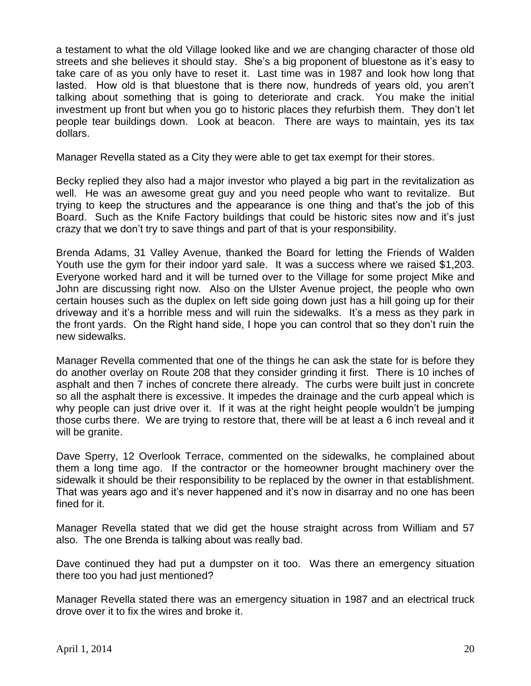a testament to what the old Village looked like and we are changing character of those old streets and she believes it should stay. She's a big proponent of bluestone as it's easy to take care of as you only have to reset it. Last time was in 1987 and look how long that lasted. How old is that bluestone that is there now, hundreds of years old, you aren't talking about something that is going to deteriorate and crack. You make the initial investment up front but when you go to historic places they refurbish them. They don't let people tear buildings down. Look at beacon. There are ways to maintain, yes its tax dollars.

Manager Revella stated as a City they were able to get tax exempt for their stores.

Becky replied they also had a major investor who played a big part in the revitalization as well. He was an awesome great guy and you need people who want to revitalize. But trying to keep the structures and the appearance is one thing and that's the job of this Board. Such as the Knife Factory buildings that could be historic sites now and it's just crazy that we don't try to save things and part of that is your responsibility.

Brenda Adams, 31 Valley Avenue, thanked the Board for letting the Friends of Walden Youth use the gym for their indoor yard sale. It was a success where we raised \$1,203. Everyone worked hard and it will be turned over to the Village for some project Mike and John are discussing right now. Also on the Ulster Avenue project, the people who own certain houses such as the duplex on left side going down just has a hill going up for their driveway and it's a horrible mess and will ruin the sidewalks. It's a mess as they park in the front yards. On the Right hand side, I hope you can control that so they don't ruin the new sidewalks.

Manager Revella commented that one of the things he can ask the state for is before they do another overlay on Route 208 that they consider grinding it first. There is 10 inches of asphalt and then 7 inches of concrete there already. The curbs were built just in concrete so all the asphalt there is excessive. It impedes the drainage and the curb appeal which is why people can just drive over it. If it was at the right height people wouldn't be jumping those curbs there. We are trying to restore that, there will be at least a 6 inch reveal and it will be granite.

Dave Sperry, 12 Overlook Terrace, commented on the sidewalks, he complained about them a long time ago. If the contractor or the homeowner brought machinery over the sidewalk it should be their responsibility to be replaced by the owner in that establishment. That was years ago and it's never happened and it's now in disarray and no one has been fined for it.

Manager Revella stated that we did get the house straight across from William and 57 also. The one Brenda is talking about was really bad.

Dave continued they had put a dumpster on it too. Was there an emergency situation there too you had just mentioned?

Manager Revella stated there was an emergency situation in 1987 and an electrical truck drove over it to fix the wires and broke it.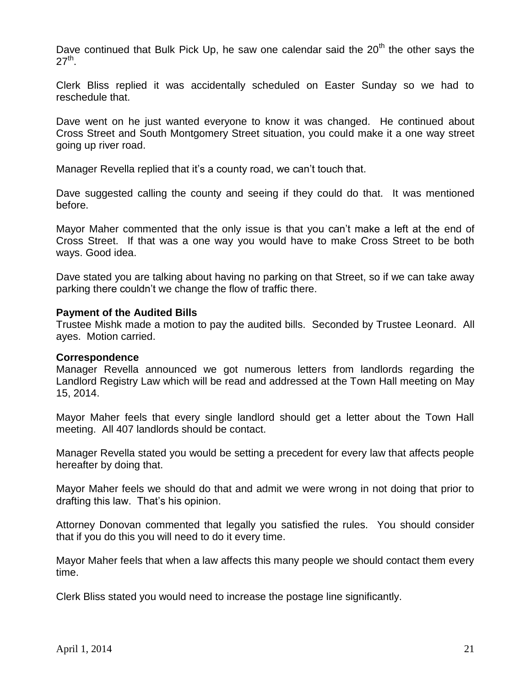Dave continued that Bulk Pick Up, he saw one calendar said the  $20<sup>th</sup>$  the other says the  $27<sup>th</sup>$ .

Clerk Bliss replied it was accidentally scheduled on Easter Sunday so we had to reschedule that.

Dave went on he just wanted everyone to know it was changed. He continued about Cross Street and South Montgomery Street situation, you could make it a one way street going up river road.

Manager Revella replied that it's a county road, we can't touch that.

Dave suggested calling the county and seeing if they could do that. It was mentioned before.

Mayor Maher commented that the only issue is that you can't make a left at the end of Cross Street. If that was a one way you would have to make Cross Street to be both ways. Good idea.

Dave stated you are talking about having no parking on that Street, so if we can take away parking there couldn't we change the flow of traffic there.

#### **Payment of the Audited Bills**

Trustee Mishk made a motion to pay the audited bills. Seconded by Trustee Leonard. All ayes. Motion carried.

#### **Correspondence**

Manager Revella announced we got numerous letters from landlords regarding the Landlord Registry Law which will be read and addressed at the Town Hall meeting on May 15, 2014.

Mayor Maher feels that every single landlord should get a letter about the Town Hall meeting. All 407 landlords should be contact.

Manager Revella stated you would be setting a precedent for every law that affects people hereafter by doing that.

Mayor Maher feels we should do that and admit we were wrong in not doing that prior to drafting this law. That's his opinion.

Attorney Donovan commented that legally you satisfied the rules. You should consider that if you do this you will need to do it every time.

Mayor Maher feels that when a law affects this many people we should contact them every time.

Clerk Bliss stated you would need to increase the postage line significantly.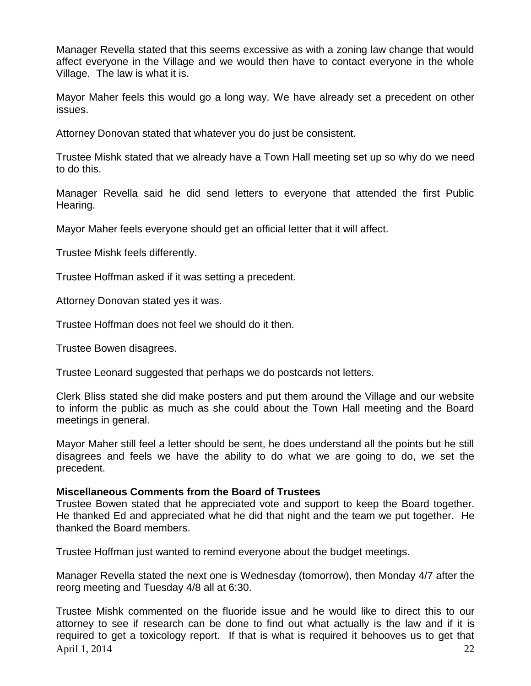Manager Revella stated that this seems excessive as with a zoning law change that would affect everyone in the Village and we would then have to contact everyone in the whole Village. The law is what it is.

Mayor Maher feels this would go a long way. We have already set a precedent on other issues.

Attorney Donovan stated that whatever you do just be consistent.

Trustee Mishk stated that we already have a Town Hall meeting set up so why do we need to do this.

Manager Revella said he did send letters to everyone that attended the first Public Hearing.

Mayor Maher feels everyone should get an official letter that it will affect.

Trustee Mishk feels differently.

Trustee Hoffman asked if it was setting a precedent.

Attorney Donovan stated yes it was.

Trustee Hoffman does not feel we should do it then.

Trustee Bowen disagrees.

Trustee Leonard suggested that perhaps we do postcards not letters.

Clerk Bliss stated she did make posters and put them around the Village and our website to inform the public as much as she could about the Town Hall meeting and the Board meetings in general.

Mayor Maher still feel a letter should be sent, he does understand all the points but he still disagrees and feels we have the ability to do what we are going to do, we set the precedent.

### **Miscellaneous Comments from the Board of Trustees**

Trustee Bowen stated that he appreciated vote and support to keep the Board together. He thanked Ed and appreciated what he did that night and the team we put together. He thanked the Board members.

Trustee Hoffman just wanted to remind everyone about the budget meetings.

Manager Revella stated the next one is Wednesday (tomorrow), then Monday 4/7 after the reorg meeting and Tuesday 4/8 all at 6:30.

April 1, 2014 22 Trustee Mishk commented on the fluoride issue and he would like to direct this to our attorney to see if research can be done to find out what actually is the law and if it is required to get a toxicology report. If that is what is required it behooves us to get that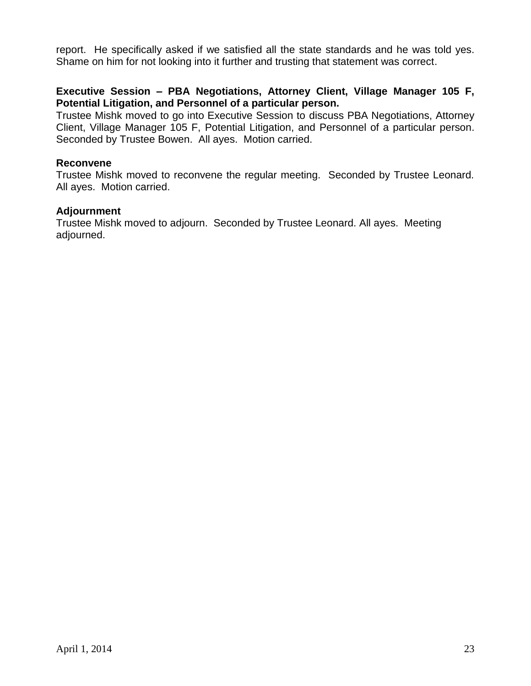report. He specifically asked if we satisfied all the state standards and he was told yes. Shame on him for not looking into it further and trusting that statement was correct.

# **Executive Session – PBA Negotiations, Attorney Client, Village Manager 105 F, Potential Litigation, and Personnel of a particular person.**

Trustee Mishk moved to go into Executive Session to discuss PBA Negotiations, Attorney Client, Village Manager 105 F, Potential Litigation, and Personnel of a particular person. Seconded by Trustee Bowen. All ayes. Motion carried.

# **Reconvene**

Trustee Mishk moved to reconvene the regular meeting. Seconded by Trustee Leonard. All ayes. Motion carried.

# **Adjournment**

Trustee Mishk moved to adjourn. Seconded by Trustee Leonard. All ayes. Meeting adjourned.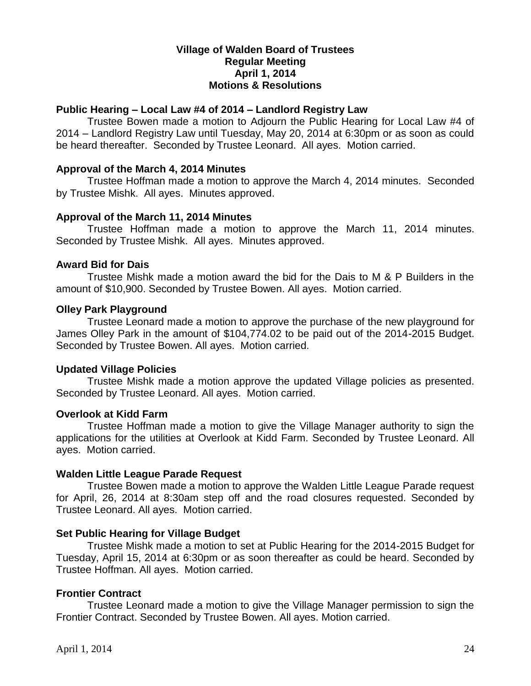# **Village of Walden Board of Trustees Regular Meeting April 1, 2014 Motions & Resolutions**

# **Public Hearing – Local Law #4 of 2014 – Landlord Registry Law**

Trustee Bowen made a motion to Adjourn the Public Hearing for Local Law #4 of 2014 – Landlord Registry Law until Tuesday, May 20, 2014 at 6:30pm or as soon as could be heard thereafter. Seconded by Trustee Leonard. All ayes. Motion carried.

### **Approval of the March 4, 2014 Minutes**

Trustee Hoffman made a motion to approve the March 4, 2014 minutes. Seconded by Trustee Mishk. All ayes. Minutes approved.

### **Approval of the March 11, 2014 Minutes**

Trustee Hoffman made a motion to approve the March 11, 2014 minutes. Seconded by Trustee Mishk. All ayes. Minutes approved.

# **Award Bid for Dais**

Trustee Mishk made a motion award the bid for the Dais to M & P Builders in the amount of \$10,900. Seconded by Trustee Bowen. All ayes. Motion carried.

# **Olley Park Playground**

Trustee Leonard made a motion to approve the purchase of the new playground for James Olley Park in the amount of \$104,774.02 to be paid out of the 2014-2015 Budget. Seconded by Trustee Bowen. All ayes. Motion carried.

# **Updated Village Policies**

Trustee Mishk made a motion approve the updated Village policies as presented. Seconded by Trustee Leonard. All ayes. Motion carried.

### **Overlook at Kidd Farm**

Trustee Hoffman made a motion to give the Village Manager authority to sign the applications for the utilities at Overlook at Kidd Farm. Seconded by Trustee Leonard. All ayes. Motion carried.

# **Walden Little League Parade Request**

Trustee Bowen made a motion to approve the Walden Little League Parade request for April, 26, 2014 at 8:30am step off and the road closures requested. Seconded by Trustee Leonard. All ayes. Motion carried.

# **Set Public Hearing for Village Budget**

Trustee Mishk made a motion to set at Public Hearing for the 2014-2015 Budget for Tuesday, April 15, 2014 at 6:30pm or as soon thereafter as could be heard. Seconded by Trustee Hoffman. All ayes. Motion carried.

# **Frontier Contract**

Trustee Leonard made a motion to give the Village Manager permission to sign the Frontier Contract. Seconded by Trustee Bowen. All ayes. Motion carried.